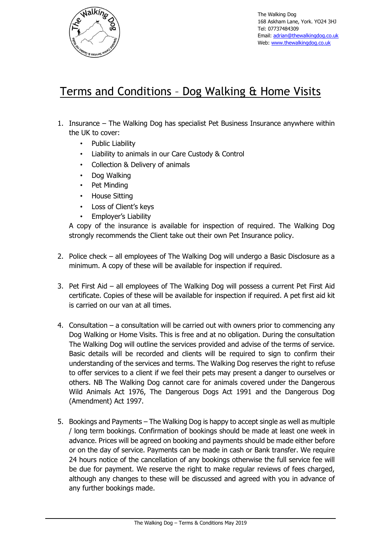

The Walking Dog 168 Askham Lane, York. YO24 3HJ Tel: 07737484309 Email: [adrian@thewalkingdog.co.uk](mailto:adrian@thewalkingdog.co.uk) Web: [www.thewalkingdog.co.uk](http://www.thewalkingdog.co.uk/)

## Terms and Conditions – Dog Walking & Home Visits

- 1. Insurance The Walking Dog has specialist Pet Business Insurance anywhere within the UK to cover:
	- Public Liability
	- Liability to animals in our Care Custody & Control
	- Collection & Delivery of animals
	- Dog Walking
	- Pet Minding
	- House Sitting
	- Loss of Client's keys
	- Employer's Liability

A copy of the insurance is available for inspection of required. The Walking Dog strongly recommends the Client take out their own Pet Insurance policy.

- 2. Police check all employees of The Walking Dog will undergo a Basic Disclosure as a minimum. A copy of these will be available for inspection if required.
- 3. Pet First Aid all employees of The Walking Dog will possess a current Pet First Aid certificate. Copies of these will be available for inspection if required. A pet first aid kit is carried on our van at all times.
- 4. Consultation a consultation will be carried out with owners prior to commencing any Dog Walking or Home Visits. This is free and at no obligation. During the consultation The Walking Dog will outline the services provided and advise of the terms of service. Basic details will be recorded and clients will be required to sign to confirm their understanding of the services and terms. The Walking Dog reserves the right to refuse to offer services to a client if we feel their pets may present a danger to ourselves or others. NB The Walking Dog cannot care for animals covered under the Dangerous Wild Animals Act 1976, The Dangerous Dogs Act 1991 and the Dangerous Dog (Amendment) Act 1997.
- 5. Bookings and Payments The Walking Dog is happy to accept single as well as multiple / long term bookings. Confirmation of bookings should be made at least one week in advance. Prices will be agreed on booking and payments should be made either before or on the day of service. Payments can be made in cash or Bank transfer. We require 24 hours notice of the cancellation of any bookings otherwise the full service fee will be due for payment. We reserve the right to make regular reviews of fees charged, although any changes to these will be discussed and agreed with you in advance of any further bookings made.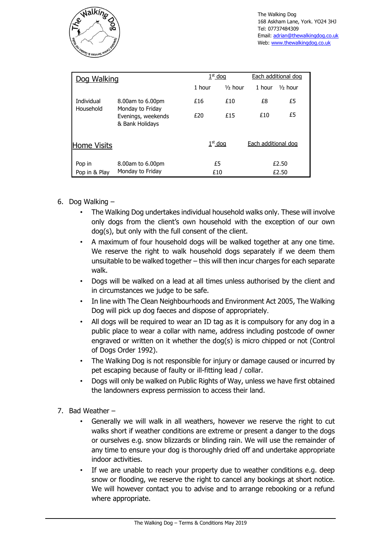

| Dog Walking                    |                                                                               | $1st$ dog |            | Each additional dog |                    |
|--------------------------------|-------------------------------------------------------------------------------|-----------|------------|---------------------|--------------------|
|                                |                                                                               | 1 hour    | $1/2$ hour | 1 hour              | $\frac{1}{2}$ hour |
| <b>Individual</b><br>Household | 8.00am to 6.00pm<br>Monday to Friday<br>Evenings, weekends<br>& Bank Holidays | £16       | £10        | £8                  | £5                 |
|                                |                                                                               | £20       | £15        | £10                 | £5                 |
| <b>Home Visits</b>             |                                                                               | $1st$ dog |            | Each additional dog |                    |
| Pop in<br>Pop in & Play        | 8.00am to 6.00pm<br>Monday to Friday                                          | £5<br>£10 |            | £2.50<br>£2.50      |                    |

- 6. Dog Walking
	- The Walking Dog undertakes individual household walks only. These will involve only dogs from the client's own household with the exception of our own dog(s), but only with the full consent of the client.
	- A maximum of four household dogs will be walked together at any one time. We reserve the right to walk household dogs separately if we deem them unsuitable to be walked together – this will then incur charges for each separate walk.
	- Dogs will be walked on a lead at all times unless authorised by the client and in circumstances we judge to be safe.
	- In line with The Clean Neighbourhoods and Environment Act 2005, The Walking Dog will pick up dog faeces and dispose of appropriately.
	- All dogs will be required to wear an ID tag as it is compulsory for any dog in a public place to wear a collar with name, address including postcode of owner engraved or written on it whether the dog(s) is micro chipped or not (Control of Dogs Order 1992).
	- The Walking Dog is not responsible for injury or damage caused or incurred by pet escaping because of faulty or ill-fitting lead / collar.
	- Dogs will only be walked on Public Rights of Way, unless we have first obtained the landowners express permission to access their land.
- 7. Bad Weather
	- Generally we will walk in all weathers, however we reserve the right to cut walks short if weather conditions are extreme or present a danger to the dogs or ourselves e.g. snow blizzards or blinding rain. We will use the remainder of any time to ensure your dog is thoroughly dried off and undertake appropriate indoor activities.
	- If we are unable to reach your property due to weather conditions e.g. deep snow or flooding, we reserve the right to cancel any bookings at short notice. We will however contact you to advise and to arrange rebooking or a refund where appropriate.